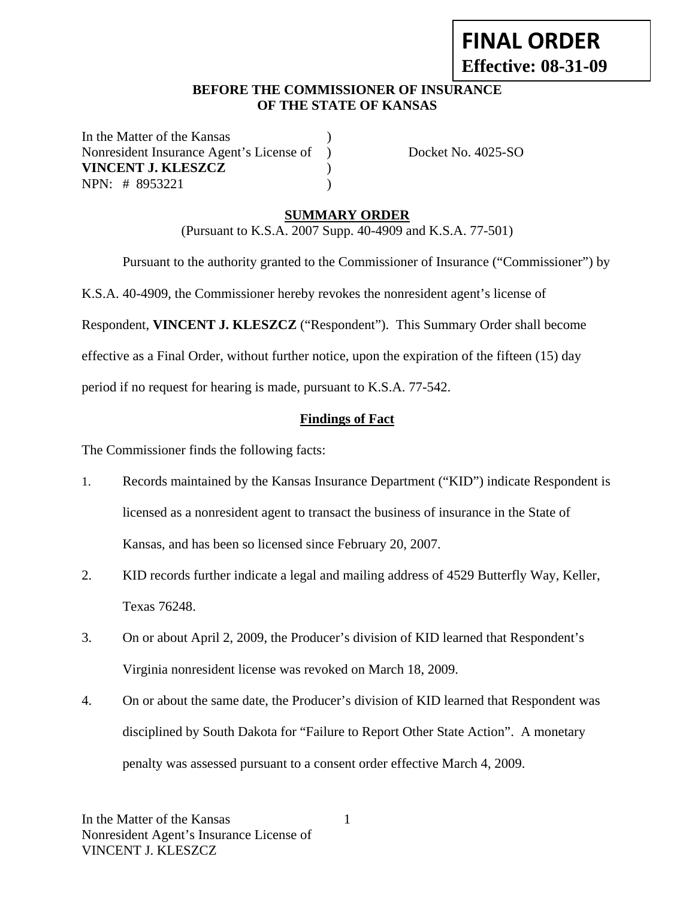# **FINAL ORDER Effective: 08-31-09**

### **BEFORE THE COMMISSIONER OF INSURANCE OF THE STATE OF KANSAS**

In the Matter of the Kansas Nonresident Insurance Agent's License of ) Docket No. 4025-SO **VINCENT J. KLESZCZ** ) NPN: # 8953221 )

# **SUMMARY ORDER**

(Pursuant to K.S.A. 2007 Supp. 40-4909 and K.S.A. 77-501)

Pursuant to the authority granted to the Commissioner of Insurance ("Commissioner") by

K.S.A. 40-4909, the Commissioner hereby revokes the nonresident agent's license of

Respondent, **VINCENT J. KLESZCZ** ("Respondent"). This Summary Order shall become

effective as a Final Order, without further notice, upon the expiration of the fifteen (15) day

period if no request for hearing is made, pursuant to K.S.A. 77-542.

## **Findings of Fact**

The Commissioner finds the following facts:

- 1. Records maintained by the Kansas Insurance Department ("KID") indicate Respondent is licensed as a nonresident agent to transact the business of insurance in the State of Kansas, and has been so licensed since February 20, 2007.
- 2. KID records further indicate a legal and mailing address of 4529 Butterfly Way, Keller, Texas 76248.
- 3. On or about April 2, 2009, the Producer's division of KID learned that Respondent's Virginia nonresident license was revoked on March 18, 2009.
- 4. On or about the same date, the Producer's division of KID learned that Respondent was disciplined by South Dakota for "Failure to Report Other State Action". A monetary penalty was assessed pursuant to a consent order effective March 4, 2009.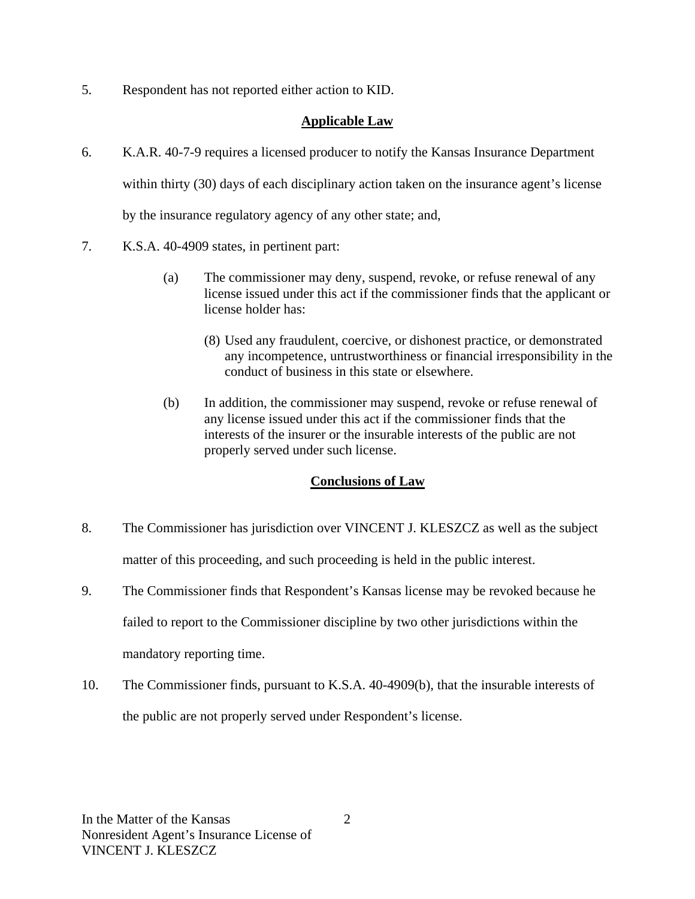5. Respondent has not reported either action to KID.

# **Applicable Law**

- 6. K.A.R. 40-7-9 requires a licensed producer to notify the Kansas Insurance Department within thirty (30) days of each disciplinary action taken on the insurance agent's license by the insurance regulatory agency of any other state; and,
- 7. K.S.A. 40-4909 states, in pertinent part:
	- (a) The commissioner may deny, suspend, revoke, or refuse renewal of any license issued under this act if the commissioner finds that the applicant or license holder has:
		- (8) Used any fraudulent, coercive, or dishonest practice, or demonstrated any incompetence, untrustworthiness or financial irresponsibility in the conduct of business in this state or elsewhere.
	- (b) In addition, the commissioner may suspend, revoke or refuse renewal of any license issued under this act if the commissioner finds that the interests of the insurer or the insurable interests of the public are not properly served under such license.

## **Conclusions of Law**

- 8. The Commissioner has jurisdiction over VINCENT J. KLESZCZ as well as the subject matter of this proceeding, and such proceeding is held in the public interest.
- 9. The Commissioner finds that Respondent's Kansas license may be revoked because he failed to report to the Commissioner discipline by two other jurisdictions within the mandatory reporting time.
- 10. The Commissioner finds, pursuant to K.S.A. 40-4909(b), that the insurable interests of the public are not properly served under Respondent's license.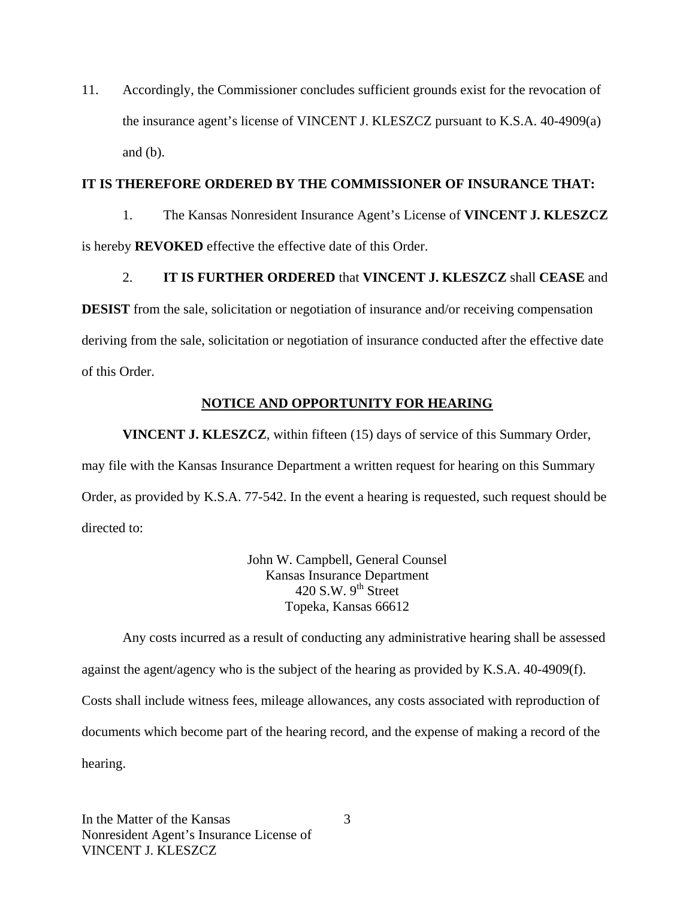11. Accordingly, the Commissioner concludes sufficient grounds exist for the revocation of the insurance agent's license of VINCENT J. KLESZCZ pursuant to K.S.A. 40-4909(a) and  $(b)$ .

#### **IT IS THEREFORE ORDERED BY THE COMMISSIONER OF INSURANCE THAT:**

1. The Kansas Nonresident Insurance Agent's License of **VINCENT J. KLESZCZ** is hereby **REVOKED** effective the effective date of this Order.

# 2. **IT IS FURTHER ORDERED** that **VINCENT J. KLESZCZ** shall **CEASE** and

**DESIST** from the sale, solicitation or negotiation of insurance and/or receiving compensation deriving from the sale, solicitation or negotiation of insurance conducted after the effective date of this Order.

## **NOTICE AND OPPORTUNITY FOR HEARING**

**VINCENT J. KLESZCZ**, within fifteen (15) days of service of this Summary Order, may file with the Kansas Insurance Department a written request for hearing on this Summary Order, as provided by K.S.A. 77-542. In the event a hearing is requested, such request should be directed to:

> John W. Campbell, General Counsel Kansas Insurance Department 420 S.W.  $9<sup>th</sup>$  Street Topeka, Kansas 66612

Any costs incurred as a result of conducting any administrative hearing shall be assessed against the agent/agency who is the subject of the hearing as provided by K.S.A. 40-4909(f). Costs shall include witness fees, mileage allowances, any costs associated with reproduction of documents which become part of the hearing record, and the expense of making a record of the hearing.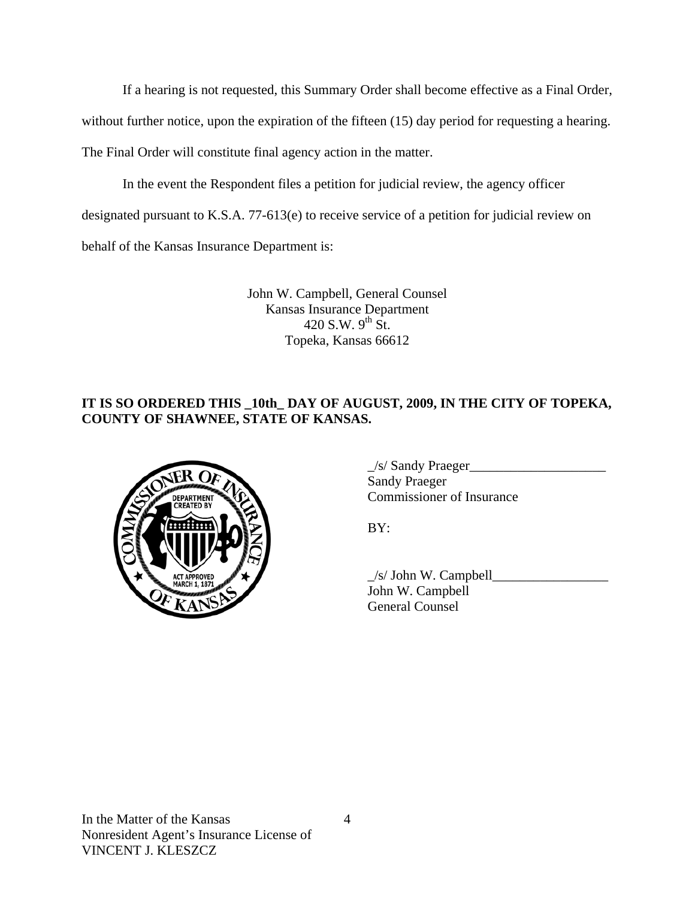If a hearing is not requested, this Summary Order shall become effective as a Final Order,

without further notice, upon the expiration of the fifteen (15) day period for requesting a hearing.

The Final Order will constitute final agency action in the matter.

In the event the Respondent files a petition for judicial review, the agency officer

designated pursuant to K.S.A. 77-613(e) to receive service of a petition for judicial review on

behalf of the Kansas Insurance Department is:

John W. Campbell, General Counsel Kansas Insurance Department 420 S.W.  $9^{th}$  St. Topeka, Kansas 66612

# **IT IS SO ORDERED THIS \_10th\_ DAY OF AUGUST, 2009, IN THE CITY OF TOPEKA, COUNTY OF SHAWNEE, STATE OF KANSAS.**



 \_/s/ Sandy Praeger\_\_\_\_\_\_\_\_\_\_\_\_\_\_\_\_\_\_\_\_ Sandy Praeger EPARTMENT VON Commissioner of Insurance

 $\angle$ s/ John W. Campbell $\angle$  John W. Campbell General Counsel